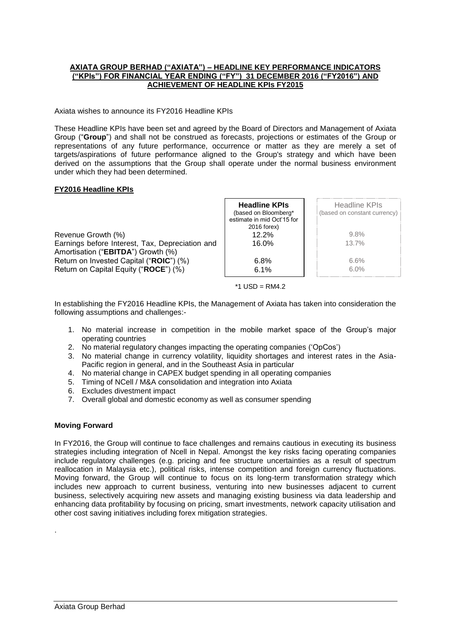## **AXIATA GROUP BERHAD ("AXIATA") – HEADLINE KEY PERFORMANCE INDICATORS ("KPIs") FOR FINANCIAL YEAR ENDING ("FY") 31 DECEMBER 2016 ("FY2016") AND ACHIEVEMENT OF HEADLINE KPIs FY2015**

Axiata wishes to announce its FY2016 Headline KPIs

These Headline KPIs have been set and agreed by the Board of Directors and Management of Axiata Group ("**Group**") and shall not be construed as forecasts, projections or estimates of the Group or representations of any future performance, occurrence or matter as they are merely a set of targets/aspirations of future performance aligned to the Group's strategy and which have been derived on the assumptions that the Group shall operate under the normal business environment under which they had been determined.

## **FY2016 Headline KPIs**

|                                                                                       | <b>Headline KPIs</b><br>(based on Bloomberg*<br>estimate in mid Oct'15 for<br>2016 forex) | Headline KPIs<br>(based on constant currency) |
|---------------------------------------------------------------------------------------|-------------------------------------------------------------------------------------------|-----------------------------------------------|
| Revenue Growth (%)                                                                    | 12.2%                                                                                     | $9.8\%$                                       |
| Earnings before Interest, Tax, Depreciation and<br>Amortisation ("EBITDA") Growth (%) | 16.0%                                                                                     | 13.7%                                         |
| Return on Invested Capital ("ROIC") (%)                                               | 6.8%                                                                                      | 6.6%                                          |
| Return on Capital Equity ("ROCE") (%)                                                 | 6.1%                                                                                      | $6.0\%$                                       |

 $*1$  USD = RM4.2

In establishing the FY2016 Headline KPIs, the Management of Axiata has taken into consideration the following assumptions and challenges:-

- 1. No material increase in competition in the mobile market space of the Group's major operating countries
- 2. No material regulatory changes impacting the operating companies ('OpCos')
- 3. No material change in currency volatility, liquidity shortages and interest rates in the Asia-Pacific region in general, and in the Southeast Asia in particular
- 4. No material change in CAPEX budget spending in all operating companies
- 5. Timing of NCell / M&A consolidation and integration into Axiata
- 6. Excludes divestment impact
- 7. Overall global and domestic economy as well as consumer spending

## **Moving Forward**

In FY2016, the Group will continue to face challenges and remains cautious in executing its business strategies including integration of Ncell in Nepal. Amongst the key risks facing operating companies include regulatory challenges (e.g. pricing and fee structure uncertainties as a result of spectrum reallocation in Malaysia etc.), political risks, intense competition and foreign currency fluctuations. Moving forward, the Group will continue to focus on its long-term transformation strategy which includes new approach to current business, venturing into new businesses adjacent to current business, selectively acquiring new assets and managing existing business via data leadership and enhancing data profitability by focusing on pricing, smart investments, network capacity utilisation and other cost saving initiatives including forex mitigation strategies.

.